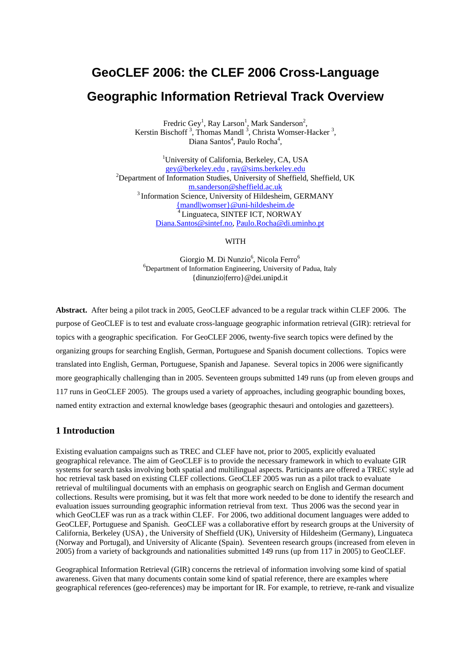# **GeoCLEF 2006: the CLEF 2006 Cross-Language**

# **Geographic Information Retrieval Track Overview**

Fredric Gey<sup>1</sup>, Ray Larson<sup>1</sup>, Mark Sanderson<sup>2</sup>, Kerstin Bischoff<sup>3</sup>, Thomas Mandl<sup>3</sup>, Christa Womser-Hacker<sup>3</sup>, Diana Santos<sup>4</sup>, Paulo Rocha<sup>4</sup>,

<sup>1</sup>University of California, Berkeley, CA, USA gey@berkeley.edu , ray@sims.berkeley.edu 2Department of Information Studies, University of Sheffield, Sheffield, UK m.sanderson@sheffield.ac.uk<br>3 Information Science, University of Hildesheim, GERMANY<br>4 <u>{mandl|womser}</u> @uni-hildesheim.de  $^{4}$ Linguateca, SINTEF ICT, NORWAY Diana.Santos@sintef.no, Paulo.Rocha@di.uminho.pt

WITH

Giorgio M. Di Nunzio<sup>6</sup>, Nicola Ferro<sup>6</sup> 6 Department of Information Engineering, University of Padua, Italy {dinunzio|ferro}@dei.unipd.it

**Abstract.** After being a pilot track in 2005, GeoCLEF advanced to be a regular track within CLEF 2006. The purpose of GeoCLEF is to test and evaluate cross-language geographic information retrieval (GIR): retrieval for topics with a geographic specification. For GeoCLEF 2006, twenty-five search topics were defined by the organizing groups for searching English, German, Portuguese and Spanish document collections. Topics were translated into English, German, Portuguese, Spanish and Japanese. Several topics in 2006 were significantly more geographically challenging than in 2005. Seventeen groups submitted 149 runs (up from eleven groups and 117 runs in GeoCLEF 2005). The groups used a variety of approaches, including geographic bounding boxes, named entity extraction and external knowledge bases (geographic thesauri and ontologies and gazetteers).

# **1 Introduction**

Existing evaluation campaigns such as TREC and CLEF have not, prior to 2005, explicitly evaluated geographical relevance. The aim of GeoCLEF is to provide the necessary framework in which to evaluate GIR systems for search tasks involving both spatial and multilingual aspects. Participants are offered a TREC style ad hoc retrieval task based on existing CLEF collections. GeoCLEF 2005 was run as a pilot track to evaluate retrieval of multilingual documents with an emphasis on geographic search on English and German document collections. Results were promising, but it was felt that more work needed to be done to identify the research and evaluation issues surrounding geographic information retrieval from text. Thus 2006 was the second year in which GeoCLEF was run as a track within CLEF. For 2006, two additional document languages were added to GeoCLEF, Portuguese and Spanish. GeoCLEF was a collaborative effort by research groups at the University of California, Berkeley (USA) , the University of Sheffield (UK), University of Hildesheim (Germany), Linguateca (Norway and Portugal), and University of Alicante (Spain). Seventeen research groups (increased from eleven in 2005) from a variety of backgrounds and nationalities submitted 149 runs (up from 117 in 2005) to GeoCLEF.

Geographical Information Retrieval (GIR) concerns the retrieval of information involving some kind of spatial awareness. Given that many documents contain some kind of spatial reference, there are examples where geographical references (geo-references) may be important for IR. For example, to retrieve, re-rank and visualize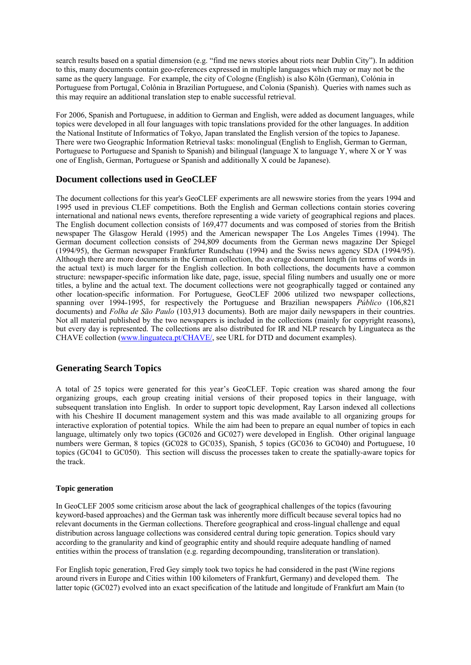search results based on a spatial dimension (e.g. "find me news stories about riots near Dublin City"). In addition to this, many documents contain geo-references expressed in multiple languages which may or may not be the same as the query language. For example, the city of Cologne (English) is also Köln (German), Colónia in Portuguese from Portugal, Colônia in Brazilian Portuguese, and Colonia (Spanish). Queries with names such as this may require an additional translation step to enable successful retrieval.

For 2006, Spanish and Portuguese, in addition to German and English, were added as document languages, while topics were developed in all four languages with topic translations provided for the other languages. In addition the National Institute of Informatics of Tokyo, Japan translated the English version of the topics to Japanese. There were two Geographic Information Retrieval tasks: monolingual (English to English, German to German, Portuguese to Portuguese and Spanish to Spanish) and bilingual (language X to language Y, where X or Y was one of English, German, Portuguese or Spanish and additionally X could be Japanese).

### **Document collections used in GeoCLEF**

The document collections for this year's GeoCLEF experiments are all newswire stories from the years 1994 and 1995 used in previous CLEF competitions. Both the English and German collections contain stories covering international and national news events, therefore representing a wide variety of geographical regions and places. The English document collection consists of 169,477 documents and was composed of stories from the British newspaper The Glasgow Herald (1995) and the American newspaper The Los Angeles Times (1994). The German document collection consists of 294,809 documents from the German news magazine Der Spiegel (1994/95), the German newspaper Frankfurter Rundschau (1994) and the Swiss news agency SDA (1994/95). Although there are more documents in the German collection, the average document length (in terms of words in the actual text) is much larger for the English collection. In both collections, the documents have a common structure: newspaper-specific information like date, page, issue, special filing numbers and usually one or more titles, a byline and the actual text. The document collections were not geographically tagged or contained any other location-specific information. For Portuguese, GeoCLEF 2006 utilized two newspaper collections, spanning over 1994-1995, for respectively the Portuguese and Brazilian newspapers *Público* (106,821 documents) and *Folha de São Paulo* (103,913 documents). Both are major daily newspapers in their countries. Not all material published by the two newspapers is included in the collections (mainly for copyright reasons), but every day is represented. The collections are also distributed for IR and NLP research by Linguateca as the CHAVE collection (www.linguateca.pt/CHAVE/, see URL for DTD and document examples).

# **Generating Search Topics**

A total of 25 topics were generated for this year's GeoCLEF. Topic creation was shared among the four organizing groups, each group creating initial versions of their proposed topics in their language, with subsequent translation into English. In order to support topic development, Ray Larson indexed all collections with his Cheshire II document management system and this was made available to all organizing groups for interactive exploration of potential topics. While the aim had been to prepare an equal number of topics in each language, ultimately only two topics (GC026 and GC027) were developed in English. Other original language numbers were German, 8 topics (GC028 to GC035), Spanish, 5 topics (GC036 to GC040) and Portuguese, 10 topics (GC041 to GC050). This section will discuss the processes taken to create the spatially-aware topics for the track.

#### **Topic generation**

In GeoCLEF 2005 some criticism arose about the lack of geographical challenges of the topics (favouring keyword-based approaches) and the German task was inherently more difficult because several topics had no relevant documents in the German collections. Therefore geographical and cross-lingual challenge and equal distribution across language collections was considered central during topic generation. Topics should vary according to the granularity and kind of geographic entity and should require adequate handling of named entities within the process of translation (e.g. regarding decompounding, transliteration or translation).

For English topic generation, Fred Gey simply took two topics he had considered in the past (Wine regions around rivers in Europe and Cities within 100 kilometers of Frankfurt, Germany) and developed them. The latter topic (GC027) evolved into an exact specification of the latitude and longitude of Frankfurt am Main (to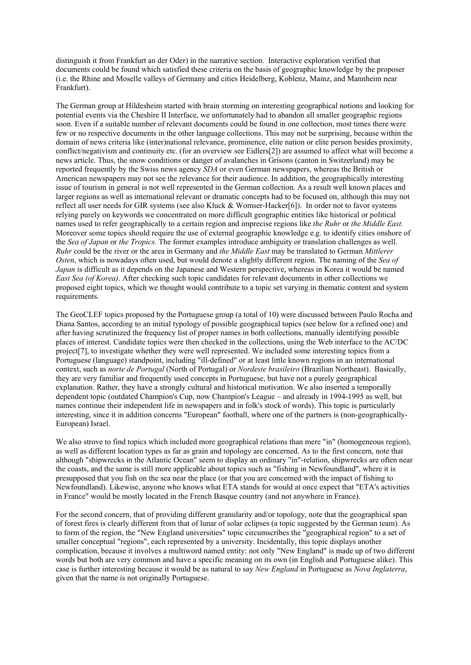distinguish it from Frankfurt an der Oder) in the narrative section. Interactive exploration verified that documents could be found which satisfied these criteria on the basis of geographic knowledge by the proposer (i.e. the Rhine and Moselle valleys of Germany and cities Heidelberg, Koblenz, Mainz, and Mannheim near Frankfurt).

The German group at Hildesheim started with brain storming on interesting geographical notions and looking for potential events via the Cheshire II Interface, we unfortunately had to abandon all smaller geographic regions soon. Even if a suitable number of relevant documents could be found in one collection, most times there were few or no respective documents in the other language collections. This may not be surprising, because within the domain of news criteria like (inter)national relevance, prominence, elite nation or elite person besides proximity, conflict/negativism and continuity etc. (for an overview see Eidlers[2]) are assumed to affect what will become a news article. Thus, the snow conditions or danger of avalanches in Grisons (canton in Switzerland) may be reported frequently by the Swiss news agency *SDA* or even German newspapers, whereas the British or American newspapers may not see the relevance for their audience. In addition, the geographically interesting issue of tourism in general is not well represented in the German collection. As a result well known places and larger regions as well as international relevant or dramatic concepts had to be focused on, although this may not reflect all user needs for GIR systems (see also Kluck & Womser-Hacker[6]). In order not to favor systems relying purely on keywords we concentrated on more difficult geographic entities like historical or political names used to refer geographically to a certain region and imprecise regions like *the Ruhr* or *the Middle East*. Moreover some topics should require the use of external geographic knowledge e.g. to identify cities onshore of the *Sea of Japan* or *the Tropics.* The former examples introduce ambiguity or translation challenges as well. *Ruhr* could be the river or the area in Germany and *the Middle East* may be translated to German *Mittlerer Osten*, which is nowadays often used, but would denote a slightly different region. The naming of the *Sea of Japan* is difficult as it depends on the Japanese and Western perspective, whereas in Korea it would be named *East Sea (of Korea)*. After checking such topic candidates for relevant documents in other collections we proposed eight topics, which we thought would contribute to a topic set varying in thematic content and system requirements.

The GeoCLEF topics proposed by the Portuguese group (a total of 10) were discussed between Paulo Rocha and Diana Santos, according to an initial typology of possible geographical topics (see below for a refined one) and after having scrutinized the frequency list of proper names in both collections, manually identifying possible places of interest. Candidate topics were then checked in the collections, using the Web interface to the AC/DC project[7], to investigate whether they were well represented. We included some interesting topics from a Portuguese (language) standpoint, including "ill-defined" or at least little known regions in an international context, such as *norte de Portugal* (North of Portugal) or *Nordeste brasileiro* (Brazilian Northeast). Basically, they are very familiar and frequently used concepts in Portuguese, but have not a purely geographical explanation. Rather, they have a strongly cultural and historical motivation. We also inserted a temporally dependent topic (outdated Champion's Cup, now Champion's League – and already in 1994-1995 as well, but names continue their independent life in newspapers and in folk's stock of words). This topic is particularly interesting, since it in addition concerns "European" football, where one of the partners is (non-geographically-European) Israel.

We also strove to find topics which included more geographical relations than mere "in" (homogeneous region), as well as different location types as far as grain and topology are concerned. As to the first concern, note that although "shipwrecks in the Atlantic Ocean" seem to display an ordinary "in"-relation, shipwrecks are often near the coasts, and the same is still more applicable about topics such as "fishing in Newfoundland", where it is presupposed that you fish on the sea near the place (or that you are concerned with the impact of fishing to Newfoundland). Likewise, anyone who knows what ETA stands for would at once expect that "ETA's activities in France" would be mostly located in the French Basque country (and not anywhere in France).

For the second concern, that of providing different granularity and/or topology, note that the geographical span of forest fires is clearly different from that of lunar of solar eclipses (a topic suggested by the German team). As to form of the region, the "New England universities" topic circumscribes the "geographical region" to a set of smaller conceptual "regions", each represented by a university. Incidentally, this topic displays another complication, because it involves a multiword named entity: not only "New England" is made up of two different words but both are very common and have a specific meaning on its own (in English and Portuguese alike). This case is further interesting because it would be as natural to say *New England* in Portuguese as *Nova Inglaterra*, given that the name is not originally Portuguese.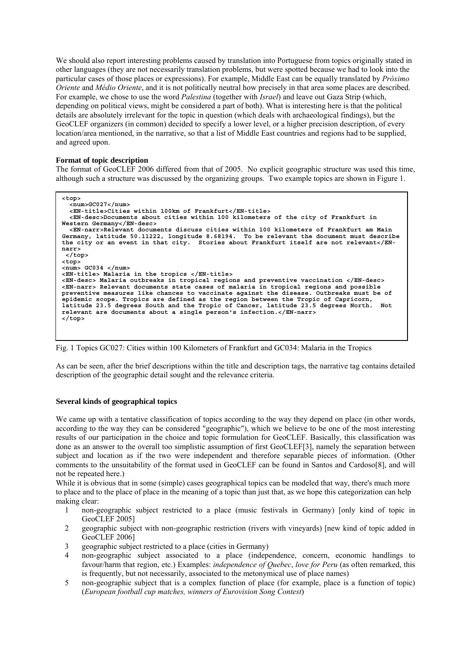We should also report interesting problems caused by translation into Portuguese from topics originally stated in other languages (they are not necessarily translation problems, but were spotted because we had to look into the particular cases of those places or expressions). For example, Middle East can be equally translated by *Próximo Oriente* and *Médio Oriente*, and it is not politically neutral how precisely in that area some places are described. For example, we chose to use the word *Palestina* (together with *Israel*) and leave out Gaza Strip (which, depending on political views, might be considered a part of both). What is interesting here is that the political details are absolutely irrelevant for the topic in question (which deals with archaeological findings), but the GeoCLEF organizers (in common) decided to specify a lower level, or a higher precision description, of every location/area mentioned, in the narrative, so that a list of Middle East countries and regions had to be supplied, and agreed upon.

#### **Format of topic description**

The format of GeoCLEF 2006 differed from that of 2005. No explicit geographic structure was used this time, although such a structure was discussed by the organizing groups. Two example topics are shown in Figure 1.

```
<top> 
   <num>GC027</num> 
   <EN-title>Cities within 100km of Frankfurt</EN-title> 
   <EN-desc>Documents about cities within 100 kilometers of the city of Frankfurt in 
Western Germany</EN-desc> 
   <EN-narr>Relevant documents discuss cities within 100 kilometers of Frankfurt am Main 
Germany, latitude 50.11222, longitude 8.68194. To be relevant the document must describe 
the city or an event in that city. Stories about Frankfurt itself are not relevant</EN-
narr> 
 </top> 
<top> 
<num> GC034 </num> 
<EN-title> Malaria in the tropics </EN-title> 
<EN-desc> Malaria outbreaks in tropical regions and preventive vaccination </EN-desc> 
<EN-narr> Relevant documents state cases of malaria in tropical regions and possible 
preventive measures like chances to vaccinate against the disease. Outbreaks must be of 
epidemic scope. Tropics are defined as the region between the Tropic of Capricorn, 
latitude 23.5 degrees South and the Tropic of Cancer, latitude 23.5 degrees North. Not 
relevant are documents about a single person's infection.</EN-narr> 
</top>
```
Fig. 1 Topics GC027: Cities within 100 Kilometers of Frankfurt and GC034: Malaria in the Tropics

As can be seen, after the brief descriptions within the title and description tags, the narrative tag contains detailed description of the geographic detail sought and the relevance criteria.

#### **Several kinds of geographical topics**

We came up with a tentative classification of topics according to the way they depend on place (in other words, according to the way they can be considered "geographic"), which we believe to be one of the most interesting results of our participation in the choice and topic formulation for GeoCLEF. Basically, this classification was done as an answer to the overall too simplistic assumption of first GeoCLEF[3], namely the separation between subject and location as if the two were independent and therefore separable pieces of information. (Other comments to the unsuitability of the format used in GeoCLEF can be found in Santos and Cardoso[8], and will not be repeated here.)

While it is obvious that in some (simple) cases geographical topics can be modeled that way, there's much more to place and to the place of place in the meaning of a topic than just that, as we hope this categorization can help making clear:

- 1 non-geographic subject restricted to a place (music festivals in Germany) [only kind of topic in GeoCLEF 2005]
- 2 geographic subject with non-geographic restriction (rivers with vineyards) [new kind of topic added in GeoCLEF 2006]
- 3 geographic subject restricted to a place (cities in Germany)
- 4 non-geographic subject associated to a place (independence, concern, economic handlings to favour/harm that region, etc.) Examples: *independence of Quebec*, *love for Peru* (as often remarked, this is frequently, but not necessarily, associated to the metonymical use of place names)
- 5 non-geographic subject that is a complex function of place (for example, place is a function of topic) (*European football cup matches, winners of Eurovision Song Contest*)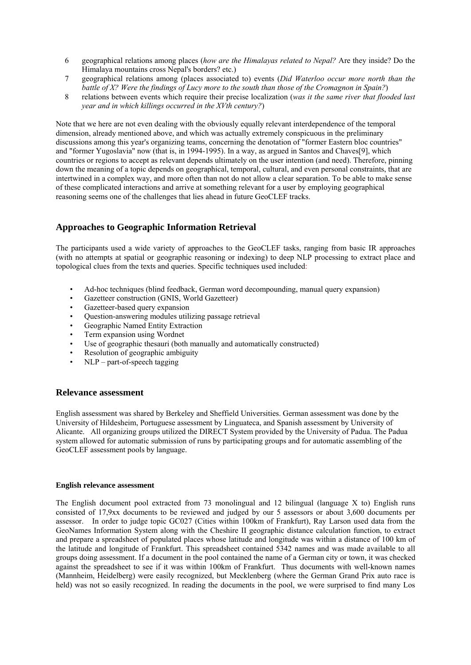- 6 geographical relations among places (*how are the Himalayas related to Nepal?* Are they inside? Do the Himalaya mountains cross Nepal's borders? etc.)
- 7 geographical relations among (places associated to) events (*Did Waterloo occur more north than the battle of X? Were the findings of Lucy more to the south than those of the Cromagnon in Spain?*)
- 8 relations between events which require their precise localization (*was it the same river that flooded last year and in which killings occurred in the XVth century?*)

Note that we here are not even dealing with the obviously equally relevant interdependence of the temporal dimension, already mentioned above, and which was actually extremely conspicuous in the preliminary discussions among this year's organizing teams, concerning the denotation of "former Eastern bloc countries" and "former Yugoslavia" now (that is, in 1994-1995). In a way, as argued in Santos and Chaves[9], which countries or regions to accept as relevant depends ultimately on the user intention (and need). Therefore, pinning down the meaning of a topic depends on geographical, temporal, cultural, and even personal constraints, that are intertwined in a complex way, and more often than not do not allow a clear separation. To be able to make sense of these complicated interactions and arrive at something relevant for a user by employing geographical reasoning seems one of the challenges that lies ahead in future GeoCLEF tracks.

# **Approaches to Geographic Information Retrieval**

The participants used a wide variety of approaches to the GeoCLEF tasks, ranging from basic IR approaches (with no attempts at spatial or geographic reasoning or indexing) to deep NLP processing to extract place and topological clues from the texts and queries. Specific techniques used included:

- Ad-hoc techniques (blind feedback, German word decompounding, manual query expansion)
- Gazetteer construction (GNIS, World Gazetteer)
- Gazetteer-based query expansion
- Question-answering modules utilizing passage retrieval
- Geographic Named Entity Extraction
- Term expansion using Wordnet
- Use of geographic thesauri (both manually and automatically constructed)
- Resolution of geographic ambiguity
- $NLP$  part-of-speech tagging

### **Relevance assessment**

English assessment was shared by Berkeley and Sheffield Universities. German assessment was done by the University of Hildesheim, Portuguese assessment by Linguateca, and Spanish assessment by University of Alicante. All organizing groups utilized the DIRECT System provided by the University of Padua. The Padua system allowed for automatic submission of runs by participating groups and for automatic assembling of the GeoCLEF assessment pools by language.

#### **English relevance assessment**

The English document pool extracted from 73 monolingual and 12 bilingual (language X to) English runs consisted of 17,9xx documents to be reviewed and judged by our 5 assessors or about 3,600 documents per assessor. In order to judge topic GC027 (Cities within 100km of Frankfurt), Ray Larson used data from the GeoNames Information System along with the Cheshire II geographic distance calculation function, to extract and prepare a spreadsheet of populated places whose latitude and longitude was within a distance of 100 km of the latitude and longitude of Frankfurt. This spreadsheet contained 5342 names and was made available to all groups doing assessment. If a document in the pool contained the name of a German city or town, it was checked against the spreadsheet to see if it was within 100km of Frankfurt. Thus documents with well-known names (Mannheim, Heidelberg) were easily recognized, but Mecklenberg (where the German Grand Prix auto race is held) was not so easily recognized. In reading the documents in the pool, we were surprised to find many Los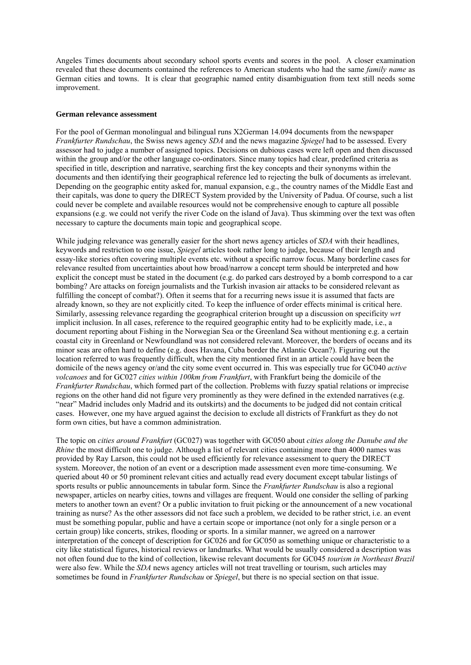Angeles Times documents about secondary school sports events and scores in the pool. A closer examination revealed that these documents contained the references to American students who had the same *family name* as German cities and towns. It is clear that geographic named entity disambiguation from text still needs some improvement.

#### **German relevance assessment**

For the pool of German monolingual and bilingual runs X2German 14.094 documents from the newspaper *Frankfurter Rundschau*, the Swiss news agency *SDA* and the news magazine *Spiegel* had to be assessed. Every assessor had to judge a number of assigned topics. Decisions on dubious cases were left open and then discussed within the group and/or the other language co-ordinators. Since many topics had clear, predefined criteria as specified in title, description and narrative, searching first the key concepts and their synonyms within the documents and then identifying their geographical reference led to rejecting the bulk of documents as irrelevant. Depending on the geographic entity asked for, manual expansion, e.g., the country names of the Middle East and their capitals, was done to query the DIRECT System provided by the University of Padua. Of course, such a list could never be complete and available resources would not be comprehensive enough to capture all possible expansions (e.g. we could not verify the river Code on the island of Java). Thus skimming over the text was often necessary to capture the documents main topic and geographical scope.

While judging relevance was generally easier for the short news agency articles of *SDA* with their headlines, keywords and restriction to one issue, *Spiegel* articles took rather long to judge, because of their length and essay-like stories often covering multiple events etc. without a specific narrow focus. Many borderline cases for relevance resulted from uncertainties about how broad/narrow a concept term should be interpreted and how explicit the concept must be stated in the document (e.g. do parked cars destroyed by a bomb correspond to a car bombing? Are attacks on foreign journalists and the Turkish invasion air attacks to be considered relevant as fulfilling the concept of combat?). Often it seems that for a recurring news issue it is assumed that facts are already known, so they are not explicitly cited. To keep the influence of order effects minimal is critical here. Similarly, assessing relevance regarding the geographical criterion brought up a discussion on specificity *wrt* implicit inclusion. In all cases, reference to the required geographic entity had to be explicitly made, i.e., a document reporting about Fishing in the Norwegian Sea or the Greenland Sea without mentioning e.g. a certain coastal city in Greenland or Newfoundland was not considered relevant. Moreover, the borders of oceans and its minor seas are often hard to define (e.g. does Havana, Cuba border the Atlantic Ocean?). Figuring out the location referred to was frequently difficult, when the city mentioned first in an article could have been the domicile of the news agency or/and the city some event occurred in. This was especially true for GC040 *active volcanoes* and for GC027 *cities within 100km from Frankfurt*, with Frankfurt being the domicile of the *Frankfurter Rundschau*, which formed part of the collection. Problems with fuzzy spatial relations or imprecise regions on the other hand did not figure very prominently as they were defined in the extended narratives (e.g. "near" Madrid includes only Madrid and its outskirts) and the documents to be judged did not contain critical cases. However, one my have argued against the decision to exclude all districts of Frankfurt as they do not form own cities, but have a common administration.

The topic on *cities around Frankfurt* (GC027) was together with GC050 about *cities along the Danube and the Rhine* the most difficult one to judge. Although a list of relevant cities containing more than 4000 names was provided by Ray Larson, this could not be used efficiently for relevance assessment to query the DIRECT system. Moreover, the notion of an event or a description made assessment even more time-consuming. We queried about 40 or 50 prominent relevant cities and actually read every document except tabular listings of sports results or public announcements in tabular form. Since the *Frankfurter Rundschau* is also a regional newspaper, articles on nearby cities, towns and villages are frequent. Would one consider the selling of parking meters to another town an event? Or a public invitation to fruit picking or the announcement of a new vocational training as nurse? As the other assessors did not face such a problem, we decided to be rather strict, i.e. an event must be something popular, public and have a certain scope or importance (not only for a single person or a certain group) like concerts, strikes, flooding or sports. In a similar manner, we agreed on a narrower interpretation of the concept of description for GC026 and for GC050 as something unique or characteristic to a city like statistical figures, historical reviews or landmarks. What would be usually considered a description was not often found due to the kind of collection, likewise relevant documents for GC045 *tourism in Northeast Brazil* were also few. While the *SDA* news agency articles will not treat travelling or tourism, such articles may sometimes be found in *Frankfurter Rundschau* or *Spiegel*, but there is no special section on that issue.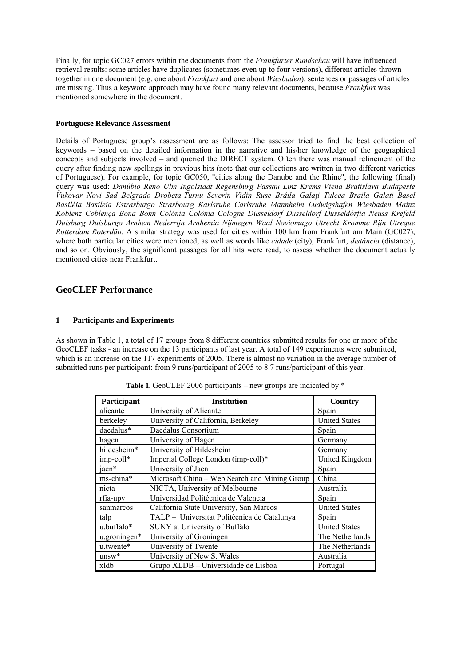Finally, for topic GC027 errors within the documents from the *Frankfurter Rundschau* will have influenced retrieval results: some articles have duplicates (sometimes even up to four versions), different articles thrown together in one document (e.g. one about *Frankfurt* and one about *Wiesbaden*), sentences or passages of articles are missing. Thus a keyword approach may have found many relevant documents, because *Frankfurt* was mentioned somewhere in the document.

#### **Portuguese Relevance Assessment**

Details of Portuguese group's assessment are as follows: The assessor tried to find the best collection of keywords – based on the detailed information in the narrative and his/her knowledge of the geographical concepts and subjects involved – and queried the DIRECT system. Often there was manual refinement of the query after finding new spellings in previous hits (note that our collections are written in two different varieties of Portuguese). For example, for topic GC050, "cities along the Danube and the Rhine", the following (final) query was used: *Danúbio Reno Ulm Ingolstadt Regensburg Passau Linz Krems Viena Bratislava Budapeste Vukovar Novi Sad Belgrado Drobeta-Turnu Severin Vidin Ruse Brăila Galaţi Tulcea Braila Galati Basel Basiléia Basileia Estrasburgo Strasbourg Karlsruhe Carlsruhe Mannheim Ludwigshafen Wiesbaden Mainz Koblenz Coblença Bona Bonn Colónia Colônia Cologne Düsseldorf Dusseldorf Dusseldórfia Neuss Krefeld Duisburg Duisburgo Arnhem Nederrijn Arnhemia Nijmegen Waal Noviomago Utrecht Kromme Rijn Utreque Rotterdam Roterdão.* A similar strategy was used for cities within 100 km from Frankfurt am Main (GC027), where both particular cities were mentioned, as well as words like *cidade* (city), Frankfurt, *distância* (distance), and so on. Obviously, the significant passages for all hits were read, to assess whether the document actually mentioned cities near Frankfurt.

# **GeoCLEF Performance**

#### **1 Participants and Experiments**

As shown in Table 1, a total of 17 groups from 8 different countries submitted results for one or more of the GeoCLEF tasks - an increase on the 13 participants of last year. A total of 149 experiments were submitted, which is an increase on the 117 experiments of 2005. There is almost no variation in the average number of submitted runs per participant: from 9 runs/participant of 2005 to 8.7 runs/participant of this year.

| Participant     | <b>Institution</b>                            | Country              |
|-----------------|-----------------------------------------------|----------------------|
| alicante        | University of Alicante                        | Spain                |
| berkeley        | University of California, Berkeley            | <b>United States</b> |
| daedalus*       | Daedalus Consortium                           | Spain                |
| hagen           | University of Hagen                           | Germany              |
| hildesheim*     | University of Hildesheim                      | Germany              |
| imp-coll*       | Imperial College London (imp-coll)*           | United Kingdom       |
| jaen*           | University of Jaen                            | Spain                |
| ms-china*       | Microsoft China - Web Search and Mining Group | China                |
| nicta           | NICTA, University of Melbourne                | Australia            |
| rfia-upv        | Universidad Politècnica de Valencia           | Spain                |
| sanmarcos       | California State University, San Marcos       | <b>United States</b> |
| talp            | TALP - Universitat Politècnica de Catalunya   | Spain                |
| u.buffalo*      | SUNY at University of Buffalo                 | <b>United States</b> |
| $u$ .groningen* | University of Groningen                       | The Netherlands      |
| u.twente*       | University of Twente                          | The Netherlands      |
| $unsw*$         | University of New S. Wales                    | Australia            |
| xldb            | Grupo XLDB - Universidade de Lisboa           | Portugal             |

**Table 1.** GeoCLEF 2006 participants – new groups are indicated by \*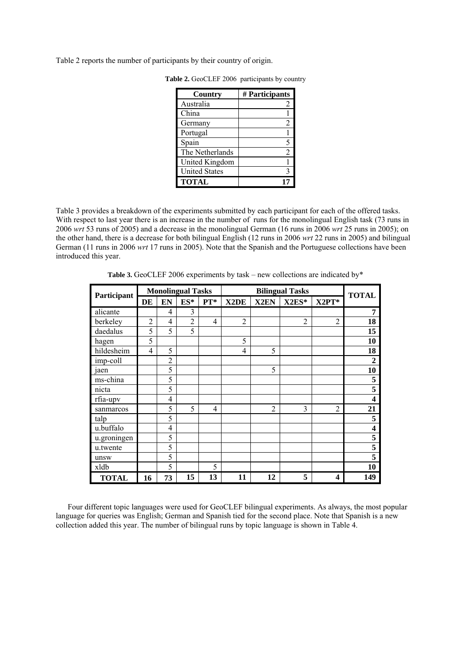Table 2 reports the number of participants by their country of origin.

| Country              | # Participants |
|----------------------|----------------|
| Australia            | 2              |
| China                |                |
| Germany              | 2              |
| Portugal             |                |
| Spain                | 5              |
| The Netherlands      | 2              |
| United Kingdom       |                |
| <b>United States</b> | 3              |
| <b>TOTAL</b>         |                |

**Table 2.** GeoCLEF 2006 participants by country

Table 3 provides a breakdown of the experiments submitted by each participant for each of the offered tasks. With respect to last year there is an increase in the number of runs for the monolingual English task (73 runs in 2006 *wrt* 53 runs of 2005) and a decrease in the monolingual German (16 runs in 2006 *wrt* 25 runs in 2005); on the other hand, there is a decrease for both bilingual English (12 runs in 2006 *wrt* 22 runs in 2005) and bilingual German (11 runs in 2006 *wrt* 17 runs in 2005). Note that the Spanish and the Portuguese collections have been introduced this year.

Table 3. GeoCLEF 2006 experiments by task – new collections are indicated by\*

| Participant  |                |                | <b>Monolingual Tasks</b> |                |                   | <b>Bilingual Tasks</b> |                |                |                         |  |  |  |
|--------------|----------------|----------------|--------------------------|----------------|-------------------|------------------------|----------------|----------------|-------------------------|--|--|--|
|              | DE             | EN             | ES*                      | PT*            | X <sub>2</sub> DE | X <sub>2</sub> EN      | $X2ES*$        | $X2PT*$        | <b>TOTAL</b>            |  |  |  |
| alicante     |                | $\overline{4}$ | 3                        |                |                   |                        |                |                | 7                       |  |  |  |
| berkeley     | $\overline{2}$ | $\overline{4}$ | $\overline{2}$           | $\overline{4}$ | $\overline{2}$    |                        | $\overline{2}$ | $\overline{2}$ | 18                      |  |  |  |
| daedalus     | 5              | 5              | 5                        |                |                   |                        |                |                | 15                      |  |  |  |
| hagen        | 5              |                |                          |                | 5                 |                        |                |                | 10                      |  |  |  |
| hildesheim   | 4              | 5              |                          |                | 4                 | 5                      |                |                | 18                      |  |  |  |
| imp-coll     |                | $\overline{2}$ |                          |                |                   |                        |                |                | $\overline{2}$          |  |  |  |
| jaen         |                | 5              |                          |                |                   | 5                      |                |                | 10                      |  |  |  |
| ms-china     |                | 5              |                          |                |                   |                        |                |                | 5                       |  |  |  |
| nicta        |                | 5              |                          |                |                   |                        |                |                | 5                       |  |  |  |
| rfia-upv     |                | $\overline{4}$ |                          |                |                   |                        |                |                | $\overline{\mathbf{4}}$ |  |  |  |
| sanmarcos    |                | 5              | 5                        | 4              |                   | $\overline{2}$         | 3              | $\overline{2}$ | 21                      |  |  |  |
| talp         |                | 5              |                          |                |                   |                        |                |                | 5                       |  |  |  |
| u.buffalo    |                | $\overline{4}$ |                          |                |                   |                        |                |                | $\overline{\mathbf{4}}$ |  |  |  |
| u.groningen  |                | 5              |                          |                |                   |                        |                |                | 5                       |  |  |  |
| u.twente     |                | 5              |                          |                |                   |                        |                |                | 5                       |  |  |  |
| unsw         |                | 5              |                          |                |                   |                        |                |                | $\overline{\mathbf{5}}$ |  |  |  |
| xldb         |                | 5              |                          | 5              |                   |                        |                |                | 10                      |  |  |  |
| <b>TOTAL</b> | 16             | 73             | 15                       | 13             | 11                | 12                     | 5              | 4              | 149                     |  |  |  |

 Four different topic languages were used for GeoCLEF bilingual experiments. As always, the most popular language for queries was English; German and Spanish tied for the second place. Note that Spanish is a new collection added this year. The number of bilingual runs by topic language is shown in Table 4.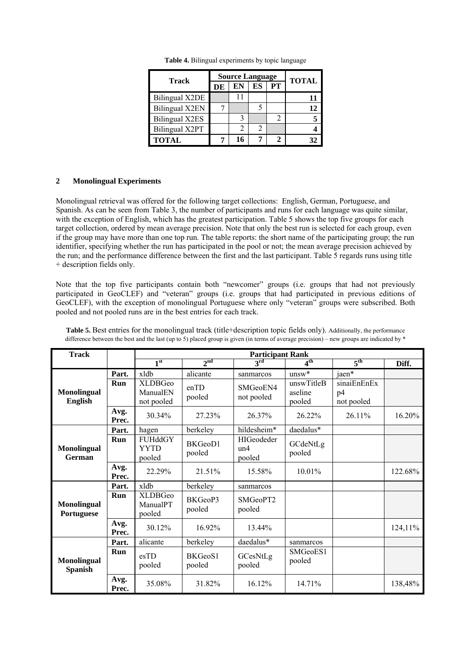| Track                 |    | <b>Source Language</b> | <b>TOTAL</b> |    |    |
|-----------------------|----|------------------------|--------------|----|----|
|                       | DE | EN                     | ES           | PT |    |
| <b>Bilingual X2DE</b> |    |                        |              |    |    |
| <b>Bilingual X2EN</b> |    |                        |              |    | 12 |
| <b>Bilingual X2ES</b> |    |                        |              |    |    |
| <b>Bilingual X2PT</b> |    |                        |              |    |    |
| <b>TOTAL</b>          |    | 16                     |              |    |    |

**Table 4.** Bilingual experiments by topic language

#### **2 Monolingual Experiments**

Monolingual retrieval was offered for the following target collections: English, German, Portuguese, and Spanish. As can be seen from Table 3, the number of participants and runs for each language was quite similar, with the exception of English, which has the greatest participation. Table 5 shows the top five groups for each target collection, ordered by mean average precision. Note that only the best run is selected for each group, even if the group may have more than one top run. The table reports: the short name of the participating group; the run identifier, specifying whether the run has participated in the pool or not; the mean average precision achieved by the run; and the performance difference between the first and the last participant. Table 5 regards runs using title + description fields only.

Note that the top five participants contain both "newcomer" groups (i.e. groups that had not previously participated in GeoCLEF) and "veteran" groups (i.e. groups that had participated in previous editions of GeoCLEF), with the exception of monolingual Portuguese where only "veteran" groups were subscribed. Both pooled and not pooled runs are in the best entries for each track.

| <b>Track</b>                         |               | <b>Participant Rank</b>              |                   |                                    |                                 |                                 |         |  |  |  |  |  |
|--------------------------------------|---------------|--------------------------------------|-------------------|------------------------------------|---------------------------------|---------------------------------|---------|--|--|--|--|--|
|                                      |               | 1 <sup>st</sup>                      | 2 <sup>nd</sup>   | $3^{\text{rd}}$                    | 4 <sup>th</sup>                 | 5 <sup>th</sup>                 | Diff.   |  |  |  |  |  |
|                                      | Part.         | xldb                                 | alicante          | sanmarcos                          | $unsw*$                         | jaen*                           |         |  |  |  |  |  |
| <b>Monolingual</b><br><b>English</b> | Run           |                                      | enTD<br>pooled    | SMGeoEN4<br>not pooled             | unswTitleB<br>aseline<br>pooled | sinaiEnEnEx<br>p4<br>not pooled |         |  |  |  |  |  |
|                                      | Avg.<br>Prec. | 30.34%                               | 27.23%            | 26.37%                             | 26.22%                          | 26.11%                          | 16.20%  |  |  |  |  |  |
|                                      | Part.         | hagen                                | berkeley          | hildesheim*                        | daedalus*                       |                                 |         |  |  |  |  |  |
| <b>Monolingual</b><br><b>German</b>  | Run           | FUHddGY<br><b>YYTD</b><br>pooled     | BKGeoD1<br>pooled | <b>HIGeodeder</b><br>un4<br>pooled | GCdeNtLg<br>pooled              |                                 |         |  |  |  |  |  |
|                                      | Avg.<br>Prec. | 22.29%<br>21.51%                     |                   | 15.58%                             | 10.01%                          |                                 | 122.68% |  |  |  |  |  |
|                                      | Part.         | xldb                                 | berkeley          | sanmarcos                          |                                 |                                 |         |  |  |  |  |  |
| <b>Monolingual</b><br>Portuguese     | Run           | <b>XLDBGeo</b><br>ManualPT<br>pooled | BKGeoP3<br>pooled | SMGeoPT2<br>pooled                 |                                 |                                 |         |  |  |  |  |  |
|                                      | Avg.<br>Prec. | 30.12%                               | 16.92%            | 13.44%                             |                                 |                                 | 124,11% |  |  |  |  |  |
|                                      | Part.         | alicante                             | berkeley          | daedalus*                          | sanmarcos                       |                                 |         |  |  |  |  |  |
| <b>Monolingual</b><br><b>Spanish</b> | Run           | esTD<br>pooled                       | BKGeoS1<br>pooled | GCesNtLg<br>pooled                 | SMGeoES1<br>pooled              |                                 |         |  |  |  |  |  |
|                                      | Avg.<br>Prec. | 35.08%                               | 31.82%            | 16.12%                             | 14.71%                          |                                 | 138,48% |  |  |  |  |  |

**Table 5.** Best entries for the monolingual track (title+description topic fields only). Additionally, the performance difference between the best and the last (up to 5) placed group is given (in terms of average precision) – new groups are indicated by  $*$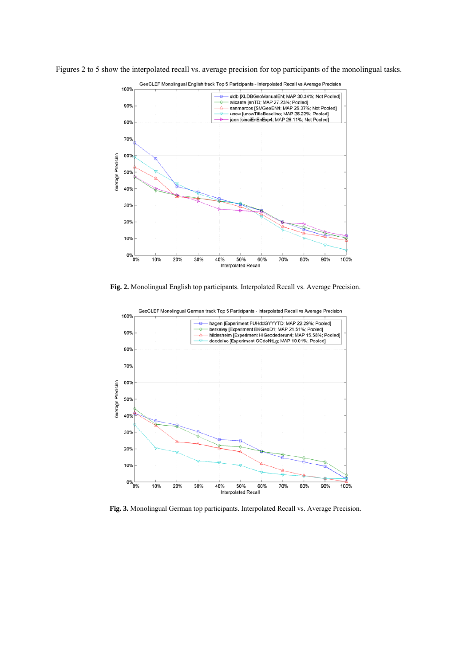

Figures 2 to 5 show the interpolated recall vs. average precision for top participants of the monolingual tasks.

**Fig. 2.** Monolingual English top participants. Interpolated Recall vs. Average Precision.



**Fig. 3.** Monolingual German top participants. Interpolated Recall vs. Average Precision.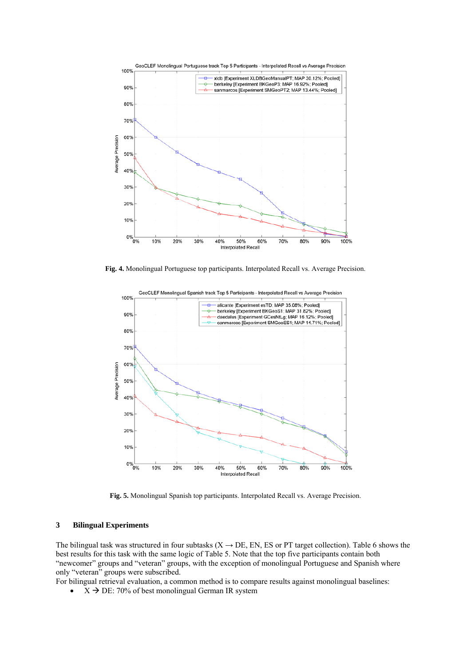

**Fig. 4.** Monolingual Portuguese top participants. Interpolated Recall vs. Average Precision.



**Fig. 5.** Monolingual Spanish top participants. Interpolated Recall vs. Average Precision.

#### **3 Bilingual Experiments**

The bilingual task was structured in four subtasks  $(X \rightarrow DE, EN, ES \text{ or PT target collection})$ . Table 6 shows the best results for this task with the same logic of Table 5. Note that the top five participants contain both "newcomer" groups and "veteran" groups, with the exception of monolingual Portuguese and Spanish where only "veteran" groups were subscribed.

For bilingual retrieval evaluation, a common method is to compare results against monolingual baselines:

•  $X \rightarrow DE$ : 70% of best monolingual German IR system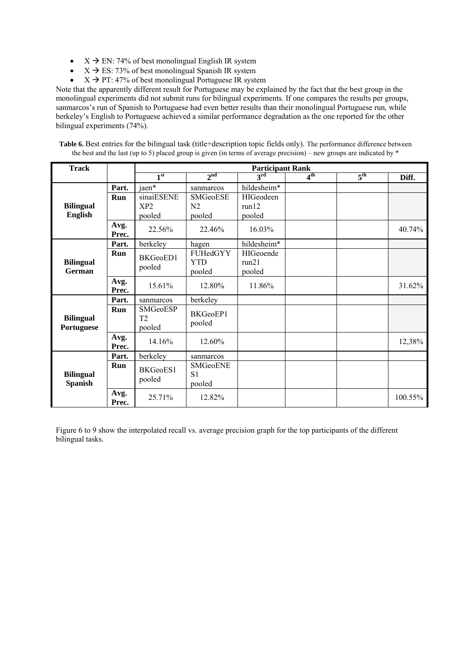- $X \rightarrow EN$ : 74% of best monolingual English IR system
- $X \rightarrow ES$ : 73% of best monolingual Spanish IR system
- $X \rightarrow PT$ : 47% of best monolingual Portuguese IR system

Note that the apparently different result for Portuguese may be explained by the fact that the best group in the monolingual experiments did not submit runs for bilingual experiments. If one compares the results per groups, sanmarcos's run of Spanish to Portuguese had even better results than their monolingual Portuguese run, while berkeley's English to Portuguese achieved a similar performance degradation as the one reported for the other bilingual experiments (74%).

**Table 6.** Best entries for the bilingual task (title+description topic fields only). The performance difference between the best and the last (up to 5) placed group is given (in terms of average precision) – new groups are indicated by \*

| <b>Track</b>                       |                                                    | <b>Participant Rank</b> |                                             |                              |              |                 |         |  |  |  |  |  |  |
|------------------------------------|----------------------------------------------------|-------------------------|---------------------------------------------|------------------------------|--------------|-----------------|---------|--|--|--|--|--|--|
|                                    |                                                    | 1 <sup>st</sup>         | 2 <sup>nd</sup>                             | $3^{\rm rd}$                 | $4^{\rm th}$ | 5 <sup>th</sup> | Diff.   |  |  |  |  |  |  |
|                                    | Part.                                              | jaen*                   | sanmarcos                                   | hildesheim*                  |              |                 |         |  |  |  |  |  |  |
|                                    | Run                                                | sinaiESENE              | <b>SMGeoESE</b>                             | HIGeodeen                    |              |                 |         |  |  |  |  |  |  |
| <b>Bilingual</b>                   |                                                    | XP <sub>2</sub>         | N <sub>2</sub>                              | run12                        |              |                 |         |  |  |  |  |  |  |
| <b>English</b>                     |                                                    | pooled                  | pooled                                      | pooled                       |              |                 |         |  |  |  |  |  |  |
|                                    | Avg.<br>Prec.                                      | 22.56%                  | 22.46%                                      | 16.03%                       |              |                 | 40.74%  |  |  |  |  |  |  |
|                                    | Part.                                              | berkeley                | hagen                                       | hildesheim*                  |              |                 |         |  |  |  |  |  |  |
| <b>Bilingual</b><br>German         | Run                                                | BKGeoED1<br>pooled      | FUHedGYY<br><b>YTD</b><br>pooled            | HIGeoende<br>run21<br>pooled |              |                 |         |  |  |  |  |  |  |
|                                    | Avg.<br>Prec.                                      | 15.61%                  | 12.80%                                      | 11.86%                       |              |                 | 31.62%  |  |  |  |  |  |  |
|                                    | Part.                                              | sanmarcos               | berkeley                                    |                              |              |                 |         |  |  |  |  |  |  |
| <b>Bilingual</b><br>Portuguese     | <b>SMGeoESP</b><br>Run<br>T <sub>2</sub><br>pooled |                         | BKGeoEP1<br>pooled                          |                              |              |                 |         |  |  |  |  |  |  |
|                                    | Avg.<br>Prec.                                      | 14.16%                  | 12.60%                                      |                              |              |                 | 12,38%  |  |  |  |  |  |  |
|                                    | Part.                                              | berkeley                | sanmarcos                                   |                              |              |                 |         |  |  |  |  |  |  |
| <b>Bilingual</b><br><b>Spanish</b> | Run                                                | BKGeoES1<br>pooled      | <b>SMGeoENE</b><br>S <sub>1</sub><br>pooled |                              |              |                 |         |  |  |  |  |  |  |
|                                    | Avg.<br>Prec.                                      | 25.71%                  | 12.82%                                      |                              |              |                 | 100.55% |  |  |  |  |  |  |

Figure 6 to 9 show the interpolated recall vs. average precision graph for the top participants of the different bilingual tasks.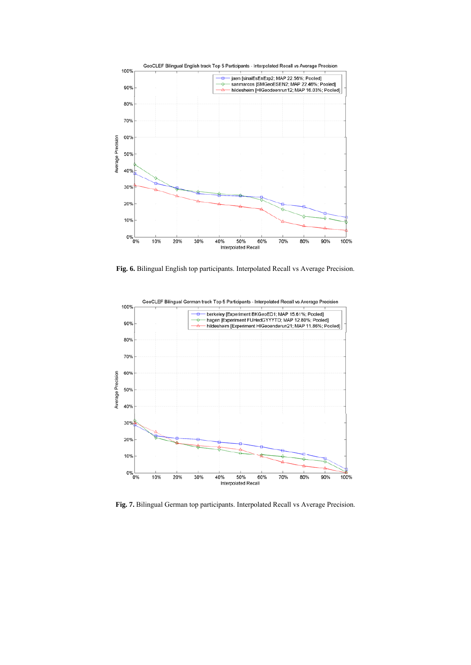

**Fig. 6.** Bilingual English top participants. Interpolated Recall vs Average Precision.



GeoCLEF Bilingual German track Top 5 Participants - Interpolated Recall vs Average Precision

**Fig. 7.** Bilingual German top participants. Interpolated Recall vs Average Precision.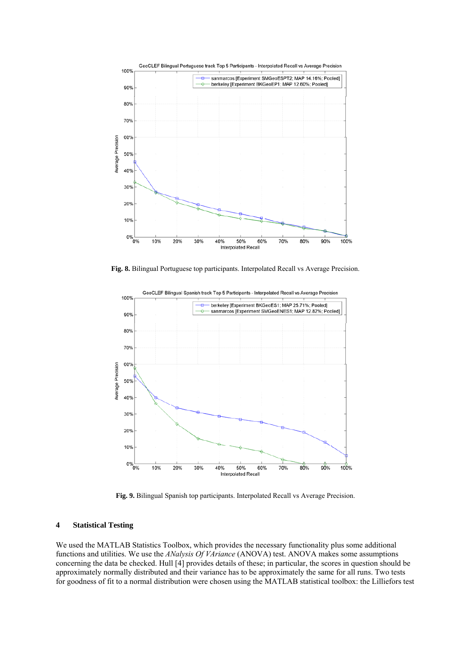

**Fig. 8.** Bilingual Portuguese top participants. Interpolated Recall vs Average Precision.



**Fig. 9.** Bilingual Spanish top participants. Interpolated Recall vs Average Precision.

#### **4 Statistical Testing**

We used the MATLAB Statistics Toolbox, which provides the necessary functionality plus some additional functions and utilities. We use the *ANalysis Of VAriance* (ANOVA) test. ANOVA makes some assumptions concerning the data be checked. Hull [4] provides details of these; in particular, the scores in question should be approximately normally distributed and their variance has to be approximately the same for all runs. Two tests for goodness of fit to a normal distribution were chosen using the MATLAB statistical toolbox: the Lilliefors test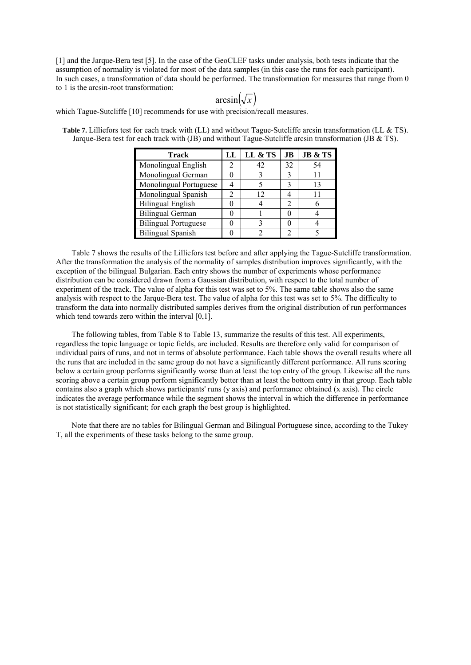[1] and the Jarque-Bera test [5]. In the case of the GeoCLEF tasks under analysis, both tests indicate that the assumption of normality is violated for most of the data samples (in this case the runs for each participant). In such cases, a transformation of data should be performed. The transformation for measures that range from 0 to 1 is the arcsin-root transformation:

# $arcsin(\sqrt{x})$

which Tague-Sutcliffe [10] recommends for use with precision/recall measures.

| Track                       | LL | LL & TS | JB | <b>JB &amp; TS</b> |
|-----------------------------|----|---------|----|--------------------|
| Monolingual English         |    | 42      | 32 | 54                 |
| Monolingual German          |    |         |    |                    |
| Monolingual Portuguese      |    |         |    | 13                 |
| Monolingual Spanish         | 2  | 12      |    |                    |
| <b>Bilingual English</b>    |    |         |    |                    |
| <b>Bilingual German</b>     |    |         |    |                    |
| <b>Bilingual Portuguese</b> |    |         |    |                    |
| <b>Bilingual Spanish</b>    |    |         |    |                    |

**Table 7.** Lilliefors test for each track with (LL) and without Tague-Sutcliffe arcsin transformation (LL & TS). Jarque-Bera test for each track with (JB) and without Tague-Sutcliffe arcsin transformation (JB & TS).

Table 7 shows the results of the Lilliefors test before and after applying the Tague-Sutcliffe transformation. After the transformation the analysis of the normality of samples distribution improves significantly, with the exception of the bilingual Bulgarian. Each entry shows the number of experiments whose performance distribution can be considered drawn from a Gaussian distribution, with respect to the total number of experiment of the track. The value of alpha for this test was set to 5%. The same table shows also the same analysis with respect to the Jarque-Bera test. The value of alpha for this test was set to 5%. The difficulty to transform the data into normally distributed samples derives from the original distribution of run performances which tend towards zero within the interval [0,1].

The following tables, from Table 8 to Table 13, summarize the results of this test. All experiments, regardless the topic language or topic fields, are included. Results are therefore only valid for comparison of individual pairs of runs, and not in terms of absolute performance. Each table shows the overall results where all the runs that are included in the same group do not have a significantly different performance. All runs scoring below a certain group performs significantly worse than at least the top entry of the group. Likewise all the runs scoring above a certain group perform significantly better than at least the bottom entry in that group. Each table contains also a graph which shows participants' runs (y axis) and performance obtained (x axis). The circle indicates the average performance while the segment shows the interval in which the difference in performance is not statistically significant; for each graph the best group is highlighted.

Note that there are no tables for Bilingual German and Bilingual Portuguese since, according to the Tukey T, all the experiments of these tasks belong to the same group.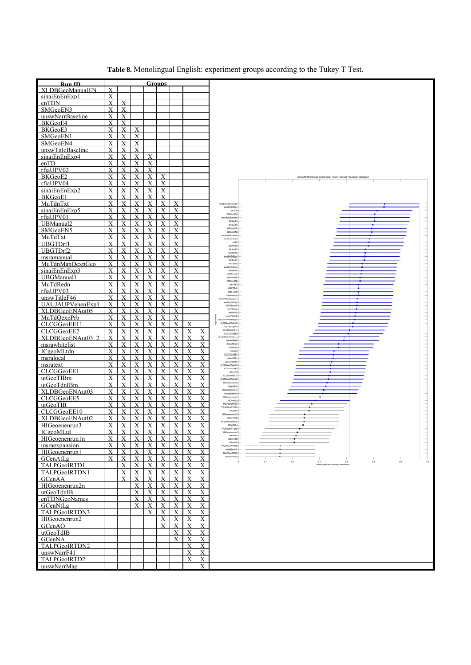| <b>Run ID</b>          |                |                           |             |                           | Grouns                    |                |                           |              |
|------------------------|----------------|---------------------------|-------------|---------------------------|---------------------------|----------------|---------------------------|--------------|
| <b>XLDBGeoManualEN</b> | X              |                           |             |                           |                           |                |                           |              |
| sinaiEnEnExp1          | X              |                           |             |                           |                           |                |                           |              |
| enTDN                  | X              | X                         |             |                           |                           |                |                           |              |
| SMGeoEN3               | X              | X                         |             |                           |                           |                |                           |              |
| unswNarrBaseline       | X              | X                         |             |                           |                           |                |                           |              |
| BKGeoE4                | X              | X                         |             |                           |                           |                |                           |              |
| BKGeoE3                | X              | X                         | X           |                           |                           |                |                           |              |
| SMGeoEN1               | Х              | X                         | $\mathbf X$ |                           |                           |                |                           |              |
| SMGeoEN4               | X              | X                         | $\mathbf X$ |                           |                           |                |                           |              |
| unswTitleBaseline      | $\mathbf x$    | X                         | X           |                           |                           |                |                           |              |
| sinaiEnEnExp4          | Х              | X                         | X           | X                         |                           |                |                           |              |
| enTD                   | X              | X                         | X           | $\mathbf X$               |                           |                |                           |              |
| rfiaUPV02              | $\mathbf{x}$   | X                         | X           | X                         |                           |                |                           |              |
| BKGeoE2                | Х              | $\mathbf X$               | X           | $\mathbf X$               | X                         |                |                           |              |
| rfiaUPV04              | $\mathbf{x}$   | X                         | X           | X                         | X                         |                |                           |              |
|                        | X              | X                         | X           |                           |                           |                |                           |              |
| sinaiEnEnExp2          |                |                           |             | X                         | X                         |                |                           |              |
| BKGeoE1                | X              | X                         | $\mathbf X$ | X                         | $\boldsymbol{\mathrm{X}}$ |                |                           |              |
| MuTdnTxt               | X              | X                         | X           | X                         | $\boldsymbol{\mathrm{X}}$ | X              |                           |              |
| sinaiEnEnExp5          | X              | $\mathbf X$               | X           | X                         | $\boldsymbol{\mathrm{X}}$ | X              |                           |              |
| rfiaUPV01              | X              | $\mathbf X$               | $\mathbf X$ | $\boldsymbol{X}$          | X                         | $\bf{X}$       |                           |              |
| UBManual2              | $\mathbf X$    | X                         | X           | X                         | X                         | X              |                           |              |
| SMGeoEN5               | X              | X                         | X           | X                         | X                         | X              |                           |              |
| MuTdTxt                | X              | X                         | X           | $\overline{X}$            | $\bf{X}$                  | X              |                           |              |
| <b>UBGTDrf1</b>        | X              | $\mathbf X$               | $\mathbf X$ | $\boldsymbol{\mathrm{X}}$ | $\boldsymbol{\mathrm{X}}$ | X              |                           |              |
| UBGTDrf2               | X              | X                         | X           | X                         | X                         | X              |                           |              |
| msramanual             | $\mathbf X$    | X                         | $\mathbf X$ | X                         | $\boldsymbol{\mathrm{X}}$ | $\mathbf X$    |                           |              |
| MuTdnManQexpGeo        | $\mathbf X$    | X                         | X           | X                         | X                         | X              |                           |              |
| sinaiEnEnExp3          | X              | X                         | X           | X                         | X                         | X              |                           |              |
| UBGManual1             | X              | $\boldsymbol{\mathrm{X}}$ | X           | X                         | X                         | X              |                           |              |
|                        |                |                           | X           |                           |                           | X              |                           |              |
| MuTdRedn<br>rfiaUPV03  | X              | X                         |             | X                         | X                         |                |                           |              |
|                        | X              | X                         | X           | X                         | X                         | X              |                           |              |
| unswTitleF46           | $\mathbf X$    | X                         | $\mathbf X$ | $\boldsymbol{\mathrm{X}}$ | $\boldsymbol{\mathrm{X}}$ | $\mathbf X$    |                           |              |
| UAUJAUPVenenExp1       | $\mathbf X$    | X                         | X           | X                         | X                         | X              |                           |              |
| XLDBGeoENAut05         | X              | X                         | X           | X                         | X                         | X              |                           |              |
| MuTdOexpPrb            | X              | $\mathbf X$               | X           | $\overline{X}$            | X                         | X              |                           |              |
| CLCGGeoEE11            | $\mathbf X$    | $\mathbf X$               | X           | $\boldsymbol{\mathrm{X}}$ | $\boldsymbol{\mathrm{X}}$ | X              | X                         |              |
| CLCGGeoEE2             | X              | X                         | X           | X                         | X                         | X              | X                         |              |
| XLDBGeoENAut03 2       | $\mathbf X$    | X                         | $\mathbf X$ | $\mathbf X$               | $\boldsymbol{\mathrm{X}}$ | $\mathbf X$    | X                         | X            |
| msrawhitelist          | $\mathbf X$    | X                         | X           | $\mathbf X$               | X                         | X              | Х                         | $\mathbf X$  |
| ICgeoMLtdn             | X              | X                         | X           | X                         | X                         | X              | Х                         | Χ            |
| msralocal              | X              | X                         | $\mathbf X$ | X                         | X                         | X              | X                         | $\mathbf X$  |
| msratext               | X              | Х                         | $\mathbf X$ | X                         | $\boldsymbol{\mathrm{X}}$ | X              | X                         | X            |
| CLCGGeoEE1             | X              | X                         | X           | X                         | X                         | X              | $\mathbf x$               | $\mathbf{x}$ |
| utGeoTIBm              | X              | $\mathbf X$               | $\mathbf X$ | $\boldsymbol{\mathrm{X}}$ | $\boldsymbol{\mathrm{X}}$ | X              | X                         | $\mathbf X$  |
| utGeoTdnIBm            | $\mathbf X$    |                           |             |                           |                           |                |                           |              |
|                        |                | X                         | X           | X                         | X                         | X              | Х                         | Х            |
| XLDBGeoENAut03         | X              | X                         | X           | X                         | X                         | X              | X                         | X            |
| CLCGGeoEE5             | Х              | X                         | X           | $\overline{X}$            | $\boldsymbol{\mathrm{X}}$ | X              | X                         | Х            |
| utGeoTIB               | X              | $\mathbf X$               | X           | $\boldsymbol{\mathrm{X}}$ | $\boldsymbol{\mathrm{X}}$ | X              | X                         | X            |
| CLCGGeoEE10            | X              | X                         | X           | X                         | X                         | X              | X                         | X            |
| XLDBGeoENAut02         | X              | X                         | $\mathbf X$ | X                         | $\boldsymbol{\mathrm{X}}$ | $\mathbf X$    | X                         | X            |
| HIGeoenenrun3          | $\mathbf X$    | $\mathbf X$               | X           | X                         | X                         | X              | X                         | $\mathbf X$  |
| <b>ICgeoMLtd</b>       |                |                           |             |                           |                           |                |                           |              |
| HIGeoenenrun1n         | $\mathbf X$    | $\mathbf X$               | X           | $\boldsymbol{X}$          | X                         | $\overline{X}$ | X                         | Х            |
| msraexpansion          | $\mathbf X$    | X                         | X           | $\boldsymbol{\mathrm{X}}$ | X                         | $\mathbf X$    | X                         | $\mathbf X$  |
| HIGeoenenrun1          | $\overline{X}$ | $\mathbf X$               | X           | $\boldsymbol{X}$          | X                         | $\mathbf X$    | X                         | $\mathbf x$  |
| GCenAtLg               | $\mathbf{X}$   | $\mathbf X$               | $\mathbf X$ | $\overline{X}$            | $\boldsymbol{\mathrm{X}}$ | $\overline{X}$ | X                         | X            |
| TALPGeoIRTD1           |                | X                         | X           | X                         | X                         | $\mathbf X$    | X                         | X            |
| TALPGeoIRTDN1          |                | X                         | X           | $\mathbf X$               | X                         | $\mathbf X$    | X                         | $\mathbf X$  |
|                        |                |                           |             |                           |                           |                |                           |              |
| GCenAA                 |                | X                         | X           | $\boldsymbol{X}$          | $\boldsymbol{\mathrm{X}}$ | $\bf{X}$       | $\boldsymbol{\mathrm{X}}$ | $\bf{X}$     |
| HIGeoenenrun2n         |                |                           | X           | $\boldsymbol{X}$          | X                         | $\mathbf X$    | X                         | $\bf{X}$     |
| utGeoTdnIB             |                |                           | X           | $\boldsymbol{\mathrm{X}}$ | $\boldsymbol{\mathrm{X}}$ | X              | X                         | X            |
| enTDNGeoNames          |                |                           | $\mathbf X$ | $\mathbf X$               | X                         | $\mathbf{X}$   | X                         | X            |
| GCenNtLg               |                |                           | X           | X                         | X                         | X              | X                         | X            |
| TALPGeoIRTDN3          |                |                           |             | X                         | X                         | X              | X                         | $\mathbf X$  |
| HIGeoenenrun2          |                |                           |             |                           | X                         | $\mathbf X$    | X                         | $\bf{X}$     |
| GCenAO                 |                |                           |             |                           | X                         | X              | X                         | $\bf{X}$     |
| utGeoTdIB              |                |                           |             |                           |                           | $\mathbf X$    | $\mathbf{X}$              | $\mathbf x$  |
|                        |                |                           |             |                           |                           | X              | X                         | X            |
| GCenNA                 |                |                           |             |                           |                           |                |                           |              |
| TALPGeoIRTDN2          |                |                           |             |                           |                           |                | X                         | X            |
| unswNarrF41            |                |                           |             |                           |                           |                | Х                         | $\mathbf X$  |
| TALPGeoIRTD2           |                |                           |             |                           |                           |                | X                         | $\bf{X}$     |
| unswNarrMap            |                |                           |             |                           |                           |                |                           | $\mathbf x$  |

**Table 8.** Monolingual English: experiment groups according to the Tukey T Test.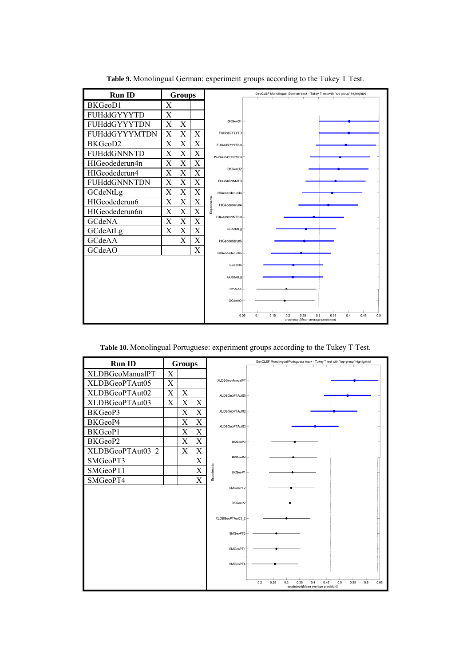| <b>Run ID</b>       |   | <b>Groups</b> |   |                              | GeoCLEF Monolingual German track - Tukey T test with "top group" highlighted                            |
|---------------------|---|---------------|---|------------------------------|---------------------------------------------------------------------------------------------------------|
| BKGeoD1             | X |               |   |                              |                                                                                                         |
| FUHddGYYYTD         | X |               |   |                              |                                                                                                         |
| FUHddGYYYTDN        | X | X             |   | BKGeoD1-                     |                                                                                                         |
| FUHddGYYYMTDN       | X | X             | X | FUHddGYYYTD-                 |                                                                                                         |
| BKGeoD <sub>2</sub> | X | X             | X | FUHddGYYYTDN-                |                                                                                                         |
| FUHddGNNNTD         | Χ | X             | X | FUHddGYYYMTDN-               |                                                                                                         |
| HIGeodederun4n      | X | X             | Х |                              |                                                                                                         |
| HIGeodederun4       | X | X             | Х | BKGeoD2                      |                                                                                                         |
| FUHddGNNNTDN        | Χ | X             | Х | FUHddGNNNTD-                 |                                                                                                         |
| GCdeNtLg            | X | X             | X | HiGeodederun4n               |                                                                                                         |
| HIGeodederun6       | Χ | Χ             | Χ | Experiments<br>HIGeodederun4 |                                                                                                         |
| HIGeodederun6n      | Χ | X             | X |                              |                                                                                                         |
| GCdeNA              | Χ | X             | X | FUHddGNNNTDN-                |                                                                                                         |
| GCdeAtLg            | X | X             | X | GCdeNtLg                     |                                                                                                         |
| GCdeAA              |   | X             | X | HIGeodederun6                |                                                                                                         |
| GCdeAO              |   |               | X | HIGeodederun6n               |                                                                                                         |
|                     |   |               |   | GCdeNA                       |                                                                                                         |
|                     |   |               |   |                              |                                                                                                         |
|                     |   |               |   | GCdeAtLg                     |                                                                                                         |
|                     |   |               |   | GCdeAA                       |                                                                                                         |
|                     |   |               |   | GCdeAO                       |                                                                                                         |
|                     |   |               |   |                              |                                                                                                         |
|                     |   |               |   | 0.05                         | 0.25<br>0.1<br>0.15<br>0.2<br>0.3<br>0.35<br>0.4<br>0.45<br>0.5<br>arcsin(sqrt(Mean average precision)) |

**Table 9.** Monolingual German: experiment groups according to the Tukey T Test.

**Table 10.** Monolingual Portuguese: experiment groups according to the Tukey T Test.

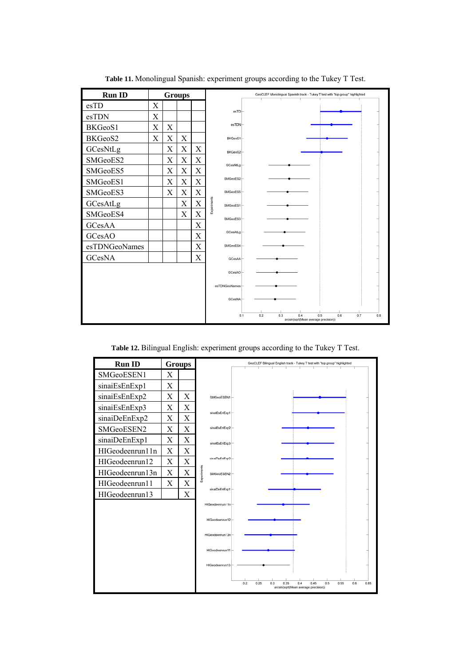| <b>Run ID</b> | <b>Groups</b> |   |   |   | GeoCLEF Monolingual Spanish track - Tukey T test with "top group" highlighted |               |                                                                                              |
|---------------|---------------|---|---|---|-------------------------------------------------------------------------------|---------------|----------------------------------------------------------------------------------------------|
| esTD          | Χ             |   |   |   |                                                                               |               |                                                                                              |
| esTDN         | X             |   |   |   |                                                                               | esTD          |                                                                                              |
| BKGeoS1       | X             | X |   |   |                                                                               | esTDN         |                                                                                              |
| BKGeoS2       | X             | Χ | X |   |                                                                               | BKGeoS1       |                                                                                              |
| GCesNtLg      |               | Х | Χ | X |                                                                               | BKGeoS2       |                                                                                              |
| SMGeoES2      |               | Х | X | Χ |                                                                               | GCesNtLg      |                                                                                              |
| SMGeoES5      |               | Х | Χ | Χ |                                                                               |               |                                                                                              |
| SMGeoES1      |               | Х | Х | Χ |                                                                               | SMGeoES2      |                                                                                              |
| SMGeoES3      |               | X | X | X |                                                                               | SMGeoES5      |                                                                                              |
| GCesAtLg      |               |   | X | X | Experiments                                                                   | SMGeoES1      |                                                                                              |
| SMGeoES4      |               |   | X | X |                                                                               | SMGeoES3      |                                                                                              |
| GCesAA        |               |   |   | X |                                                                               |               |                                                                                              |
| GCesAO        |               |   |   | X |                                                                               | GCesAtLg      |                                                                                              |
| esTDNGeoNames |               |   |   | X |                                                                               | SMGeoES4      |                                                                                              |
| GCesNA        |               |   |   | Χ |                                                                               | GCesAA        |                                                                                              |
|               |               |   |   |   |                                                                               | GCesAO        |                                                                                              |
|               |               |   |   |   |                                                                               |               |                                                                                              |
|               |               |   |   |   |                                                                               | esTDNGeoNames |                                                                                              |
|               |               |   |   |   |                                                                               | GCesNA        |                                                                                              |
|               |               |   |   |   |                                                                               |               | 0.2<br>0.3<br>0.7<br>0,8<br>0,1<br>0.4<br>0.5<br>0.6<br>arcsin(sqrt(Mean average precision)) |

**Table 11.** Monolingual Spanish: experiment groups according to the Tukey T Test.

**Table 12.** Bilingual English: experiment groups according to the Tukey T Test.

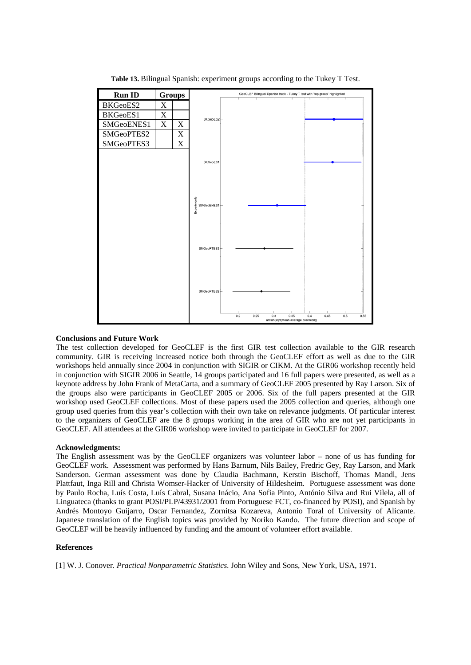

**Table 13.** Bilingual Spanish: experiment groups according to the Tukey T Test.

#### **Conclusions and Future Work**

The test collection developed for GeoCLEF is the first GIR test collection available to the GIR research community. GIR is receiving increased notice both through the GeoCLEF effort as well as due to the GIR workshops held annually since 2004 in conjunction with SIGIR or CIKM. At the GIR06 workshop recently held in conjunction with SIGIR 2006 in Seattle, 14 groups participated and 16 full papers were presented, as well as a keynote address by John Frank of MetaCarta, and a summary of GeoCLEF 2005 presented by Ray Larson. Six of the groups also were participants in GeoCLEF 2005 or 2006. Six of the full papers presented at the GIR workshop used GeoCLEF collections. Most of these papers used the 2005 collection and queries, although one group used queries from this year's collection with their own take on relevance judgments. Of particular interest to the organizers of GeoCLEF are the 8 groups working in the area of GIR who are not yet participants in GeoCLEF. All attendees at the GIR06 workshop were invited to participate in GeoCLEF for 2007.

#### **Acknowledgments:**

The English assessment was by the GeoCLEF organizers was volunteer labor – none of us has funding for GeoCLEF work. Assessment was performed by Hans Barnum, Nils Bailey, Fredric Gey, Ray Larson, and Mark Sanderson. German assessment was done by Claudia Bachmann, Kerstin Bischoff, Thomas Mandl, Jens Plattfaut, Inga Rill and Christa Womser-Hacker of University of Hildesheim. Portuguese assessment was done by Paulo Rocha, Luís Costa, Luís Cabral, Susana Inácio, Ana Sofia Pinto, António Silva and Rui Vilela, all of Linguateca (thanks to grant POSI/PLP/43931/2001 from Portuguese FCT, co-financed by POSI), and Spanish by Andrés Montoyo Guijarro, Oscar Fernandez, Zornitsa Kozareva, Antonio Toral of University of Alicante. Japanese translation of the English topics was provided by Noriko Kando. The future direction and scope of GeoCLEF will be heavily influenced by funding and the amount of volunteer effort available.

#### **References**

[1] W. J. Conover*. Practical Nonparametric Statistics*. John Wiley and Sons, New York, USA, 1971.